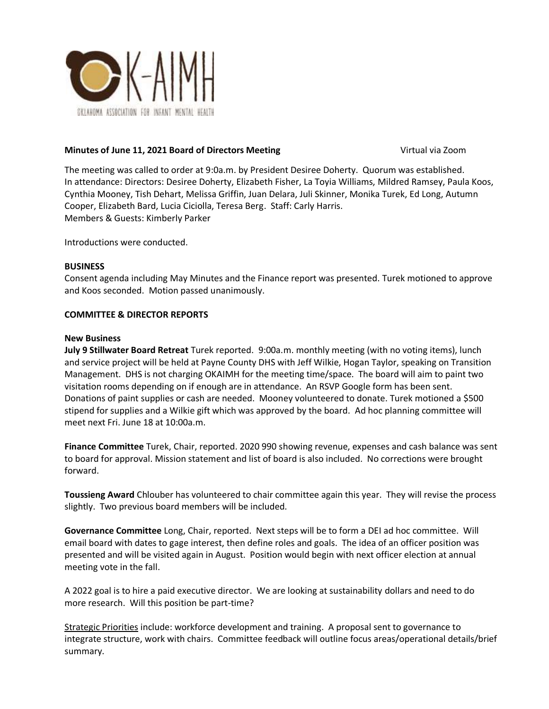

## **Minutes of June 11, 2021 Board of Directors Meeting <b>Vice 2001** Virtual via Zoom

The meeting was called to order at 9:0a.m. by President Desiree Doherty. Quorum was established. In attendance: Directors: Desiree Doherty, Elizabeth Fisher, La Toyia Williams, Mildred Ramsey, Paula Koos, Cynthia Mooney, Tish Dehart, Melissa Griffin, Juan Delara, Juli Skinner, Monika Turek, Ed Long, Autumn Cooper, Elizabeth Bard, Lucia Ciciolla, Teresa Berg. Staff: Carly Harris. Members & Guests: Kimberly Parker

Introductions were conducted.

## **BUSINESS**

Consent agenda including May Minutes and the Finance report was presented. Turek motioned to approve and Koos seconded. Motion passed unanimously.

## **COMMITTEE & DIRECTOR REPORTS**

#### **New Business**

**July 9 Stillwater Board Retreat** Turek reported. 9:00a.m. monthly meeting (with no voting items), lunch and service project will be held at Payne County DHS with Jeff Wilkie, Hogan Taylor, speaking on Transition Management. DHS is not charging OKAIMH for the meeting time/space. The board will aim to paint two visitation rooms depending on if enough are in attendance. An RSVP Google form has been sent. Donations of paint supplies or cash are needed. Mooney volunteered to donate. Turek motioned a \$500 stipend for supplies and a Wilkie gift which was approved by the board. Ad hoc planning committee will meet next Fri. June 18 at 10:00a.m.

**Finance Committee** Turek, Chair, reported. 2020 990 showing revenue, expenses and cash balance was sent to board for approval. Mission statement and list of board is also included. No corrections were brought forward.

**Toussieng Award** Chlouber has volunteered to chair committee again this year. They will revise the process slightly. Two previous board members will be included.

**Governance Committee** Long, Chair, reported. Next steps will be to form a DEI ad hoc committee. Will email board with dates to gage interest, then define roles and goals. The idea of an officer position was presented and will be visited again in August. Position would begin with next officer election at annual meeting vote in the fall.

A 2022 goal is to hire a paid executive director. We are looking at sustainability dollars and need to do more research. Will this position be part-time?

Strategic Priorities include: workforce development and training. A proposal sent to governance to integrate structure, work with chairs. Committee feedback will outline focus areas/operational details/brief summary.